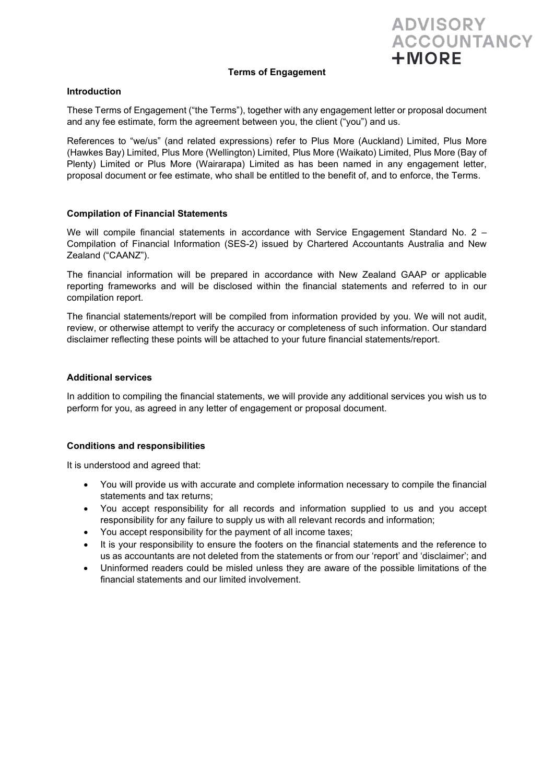**ADVISORY ACCOUNTANCY**  $+ M$ ORF

# **Terms of Engagement**

#### **Introduction**

These Terms of Engagement ("the Terms"), together with any engagement letter or proposal document and any fee estimate, form the agreement between you, the client ("you") and us.

References to "we/us" (and related expressions) refer to Plus More (Auckland) Limited, Plus More (Hawkes Bay) Limited, Plus More (Wellington) Limited, Plus More (Waikato) Limited, Plus More (Bay of Plenty) Limited or Plus More (Wairarapa) Limited as has been named in any engagement letter, proposal document or fee estimate, who shall be entitled to the benefit of, and to enforce, the Terms.

# **Compilation of Financial Statements**

We will compile financial statements in accordance with Service Engagement Standard No. 2 – Compilation of Financial Information (SES-2) issued by Chartered Accountants Australia and New Zealand ("CAANZ").

The financial information will be prepared in accordance with New Zealand GAAP or applicable reporting frameworks and will be disclosed within the financial statements and referred to in our compilation report.

The financial statements/report will be compiled from information provided by you. We will not audit, review, or otherwise attempt to verify the accuracy or completeness of such information. Our standard disclaimer reflecting these points will be attached to your future financial statements/report.

# **Additional services**

In addition to compiling the financial statements, we will provide any additional services you wish us to perform for you, as agreed in any letter of engagement or proposal document.

# **Conditions and responsibilities**

It is understood and agreed that:

- You will provide us with accurate and complete information necessary to compile the financial statements and tax returns;
- You accept responsibility for all records and information supplied to us and you accept responsibility for any failure to supply us with all relevant records and information;
- You accept responsibility for the payment of all income taxes;
- It is your responsibility to ensure the footers on the financial statements and the reference to us as accountants are not deleted from the statements or from our 'report' and 'disclaimer'; and
- Uninformed readers could be misled unless they are aware of the possible limitations of the financial statements and our limited involvement.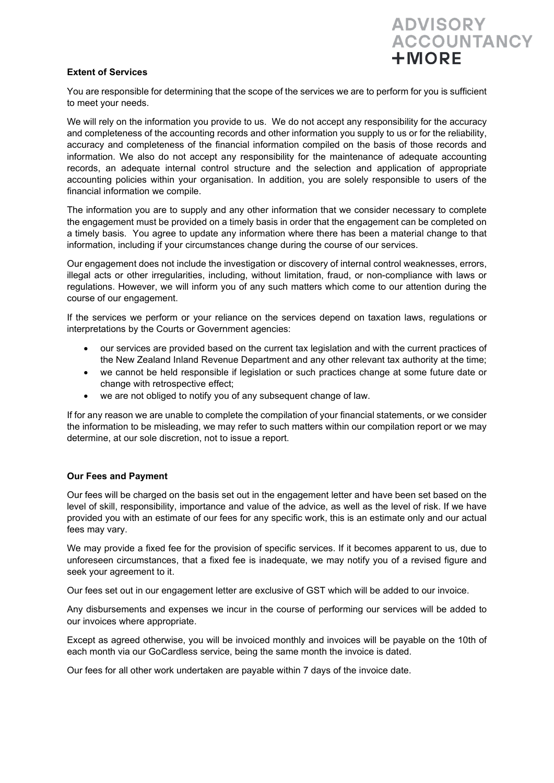# **Extent of Services**



You are responsible for determining that the scope of the services we are to perform for you is sufficient to meet your needs.

We will rely on the information you provide to us. We do not accept any responsibility for the accuracy and completeness of the accounting records and other information you supply to us or for the reliability, accuracy and completeness of the financial information compiled on the basis of those records and information. We also do not accept any responsibility for the maintenance of adequate accounting records, an adequate internal control structure and the selection and application of appropriate accounting policies within your organisation. In addition, you are solely responsible to users of the financial information we compile.

The information you are to supply and any other information that we consider necessary to complete the engagement must be provided on a timely basis in order that the engagement can be completed on a timely basis. You agree to update any information where there has been a material change to that information, including if your circumstances change during the course of our services.

Our engagement does not include the investigation or discovery of internal control weaknesses, errors, illegal acts or other irregularities, including, without limitation, fraud, or non-compliance with laws or regulations. However, we will inform you of any such matters which come to our attention during the course of our engagement.

If the services we perform or your reliance on the services depend on taxation laws, regulations or interpretations by the Courts or Government agencies:

- our services are provided based on the current tax legislation and with the current practices of the New Zealand Inland Revenue Department and any other relevant tax authority at the time;
- we cannot be held responsible if legislation or such practices change at some future date or change with retrospective effect;
- we are not obliged to notify you of any subsequent change of law.

If for any reason we are unable to complete the compilation of your financial statements, or we consider the information to be misleading, we may refer to such matters within our compilation report or we may determine, at our sole discretion, not to issue a report.

# **Our Fees and Payment**

Our fees will be charged on the basis set out in the engagement letter and have been set based on the level of skill, responsibility, importance and value of the advice, as well as the level of risk. If we have provided you with an estimate of our fees for any specific work, this is an estimate only and our actual fees may vary.

We may provide a fixed fee for the provision of specific services. If it becomes apparent to us, due to unforeseen circumstances, that a fixed fee is inadequate, we may notify you of a revised figure and seek your agreement to it.

Our fees set out in our engagement letter are exclusive of GST which will be added to our invoice.

Any disbursements and expenses we incur in the course of performing our services will be added to our invoices where appropriate.

Except as agreed otherwise, you will be invoiced monthly and invoices will be payable on the 10th of each month via our GoCardless service, being the same month the invoice is dated.

Our fees for all other work undertaken are payable within 7 days of the invoice date.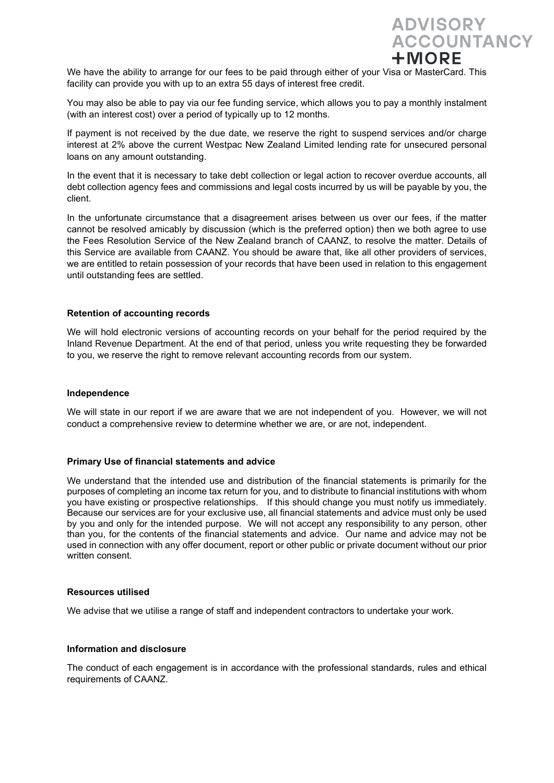**ADVISORY ACCOUNTANCY**  $+MORE$ 

We have the ability to arrange for our fees to be paid through either of your Visa or MasterCard. This facility can provide you with up to an extra 55 days of interest free credit.

You may also be able to pay via our fee funding service, which allows you to pay a monthly instalment (with an interest cost) over a period of typically up to 12 months.

If payment is not received by the due date, we reserve the right to suspend services and/or charge interest at 2% above the current Westpac New Zealand Limited lending rate for unsecured personal loans on any amount outstanding.

In the event that it is necessary to take debt collection or legal action to recover overdue accounts, all debt collection agency fees and commissions and legal costs incurred by us will be payable by you, the client.

In the unfortunate circumstance that a disagreement arises between us over our fees, if the matter cannot be resolved amicably by discussion (which is the preferred option) then we both agree to use the Fees Resolution Service of the New Zealand branch of CAANZ, to resolve the matter. Details of this Service are available from CAANZ. You should be aware that, like all other providers of services, we are entitled to retain possession of your records that have been used in relation to this engagement until outstanding fees are settled.

# **Retention of accounting records**

We will hold electronic versions of accounting records on your behalf for the period required by the Inland Revenue Department. At the end of that period, unless you write requesting they be forwarded to you, we reserve the right to remove relevant accounting records from our system.

#### **Independence**

We will state in our report if we are aware that we are not independent of you. However, we will not conduct a comprehensive review to determine whether we are, or are not, independent.

#### **Primary Use of financial statements and advice**

We understand that the intended use and distribution of the financial statements is primarily for the purposes of completing an income tax return for you, and to distribute to financial institutions with whom you have existing or prospective relationships. If this should change you must notify us immediately. Because our services are for your exclusive use, all financial statements and advice must only be used by you and only for the intended purpose. We will not accept any responsibility to any person, other than you, for the contents of the financial statements and advice. Our name and advice may not be used in connection with any offer document, report or other public or private document without our prior written consent.

#### **Resources utilised**

We advise that we utilise a range of staff and independent contractors to undertake your work.

#### **Information and disclosure**

The conduct of each engagement is in accordance with the professional standards, rules and ethical requirements of CAANZ.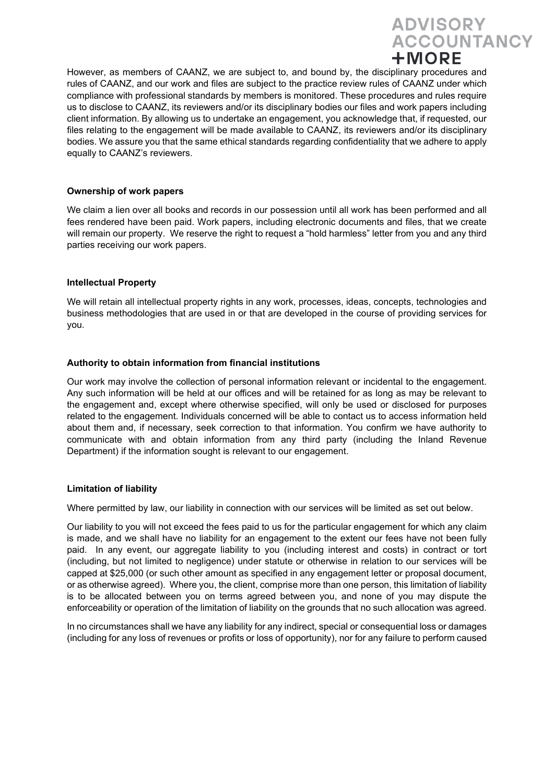

However, as members of CAANZ, we are subject to, and bound by, the disciplinary procedures and rules of CAANZ, and our work and files are subject to the practice review rules of CAANZ under which compliance with professional standards by members is monitored. These procedures and rules require us to disclose to CAANZ, its reviewers and/or its disciplinary bodies our files and work papers including client information. By allowing us to undertake an engagement, you acknowledge that, if requested, our files relating to the engagement will be made available to CAANZ, its reviewers and/or its disciplinary bodies. We assure you that the same ethical standards regarding confidentiality that we adhere to apply equally to CAANZ's reviewers.

# **Ownership of work papers**

We claim a lien over all books and records in our possession until all work has been performed and all fees rendered have been paid. Work papers, including electronic documents and files, that we create will remain our property. We reserve the right to request a "hold harmless" letter from you and any third parties receiving our work papers.

# **Intellectual Property**

We will retain all intellectual property rights in any work, processes, ideas, concepts, technologies and business methodologies that are used in or that are developed in the course of providing services for you.

# **Authority to obtain information from financial institutions**

Our work may involve the collection of personal information relevant or incidental to the engagement. Any such information will be held at our offices and will be retained for as long as may be relevant to the engagement and, except where otherwise specified, will only be used or disclosed for purposes related to the engagement. Individuals concerned will be able to contact us to access information held about them and, if necessary, seek correction to that information. You confirm we have authority to communicate with and obtain information from any third party (including the Inland Revenue Department) if the information sought is relevant to our engagement.

#### **Limitation of liability**

Where permitted by law, our liability in connection with our services will be limited as set out below.

Our liability to you will not exceed the fees paid to us for the particular engagement for which any claim is made, and we shall have no liability for an engagement to the extent our fees have not been fully paid. In any event, our aggregate liability to you (including interest and costs) in contract or tort (including, but not limited to negligence) under statute or otherwise in relation to our services will be capped at \$25,000 (or such other amount as specified in any engagement letter or proposal document, or as otherwise agreed). Where you, the client, comprise more than one person, this limitation of liability is to be allocated between you on terms agreed between you, and none of you may dispute the enforceability or operation of the limitation of liability on the grounds that no such allocation was agreed.

In no circumstances shall we have any liability for any indirect, special or consequential loss or damages (including for any loss of revenues or profits or loss of opportunity), nor for any failure to perform caused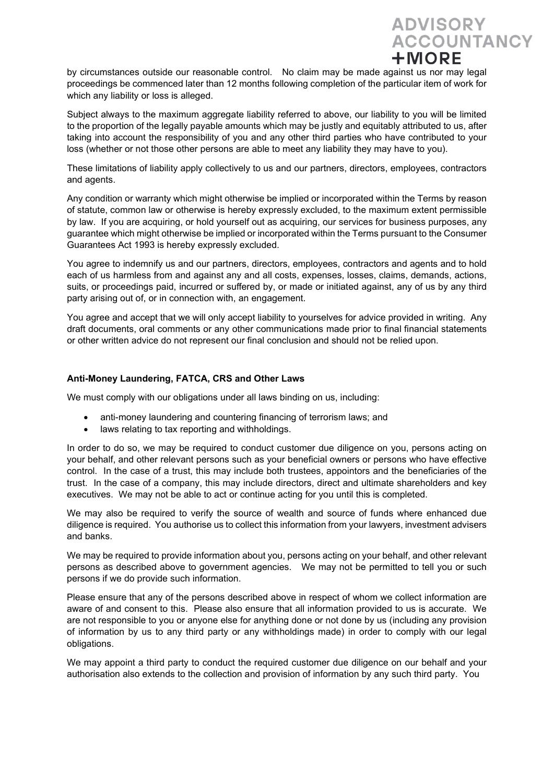

by circumstances outside our reasonable control. No claim may be made against us nor may legal proceedings be commenced later than 12 months following completion of the particular item of work for which any liability or loss is alleged.

Subject always to the maximum aggregate liability referred to above, our liability to you will be limited to the proportion of the legally payable amounts which may be justly and equitably attributed to us, after taking into account the responsibility of you and any other third parties who have contributed to your loss (whether or not those other persons are able to meet any liability they may have to you).

These limitations of liability apply collectively to us and our partners, directors, employees, contractors and agents.

Any condition or warranty which might otherwise be implied or incorporated within the Terms by reason of statute, common law or otherwise is hereby expressly excluded, to the maximum extent permissible by law. If you are acquiring, or hold yourself out as acquiring, our services for business purposes, any guarantee which might otherwise be implied or incorporated within the Terms pursuant to the Consumer Guarantees Act 1993 is hereby expressly excluded.

You agree to indemnify us and our partners, directors, employees, contractors and agents and to hold each of us harmless from and against any and all costs, expenses, losses, claims, demands, actions, suits, or proceedings paid, incurred or suffered by, or made or initiated against, any of us by any third party arising out of, or in connection with, an engagement.

You agree and accept that we will only accept liability to yourselves for advice provided in writing. Any draft documents, oral comments or any other communications made prior to final financial statements or other written advice do not represent our final conclusion and should not be relied upon.

# **Anti-Money Laundering, FATCA, CRS and Other Laws**

We must comply with our obligations under all laws binding on us, including:

- anti-money laundering and countering financing of terrorism laws; and
- laws relating to tax reporting and withholdings.

In order to do so, we may be required to conduct customer due diligence on you, persons acting on your behalf, and other relevant persons such as your beneficial owners or persons who have effective control. In the case of a trust, this may include both trustees, appointors and the beneficiaries of the trust. In the case of a company, this may include directors, direct and ultimate shareholders and key executives. We may not be able to act or continue acting for you until this is completed.

We may also be required to verify the source of wealth and source of funds where enhanced due diligence is required. You authorise us to collect this information from your lawyers, investment advisers and banks.

We may be required to provide information about you, persons acting on your behalf, and other relevant persons as described above to government agencies. We may not be permitted to tell you or such persons if we do provide such information.

Please ensure that any of the persons described above in respect of whom we collect information are aware of and consent to this. Please also ensure that all information provided to us is accurate. We are not responsible to you or anyone else for anything done or not done by us (including any provision of information by us to any third party or any withholdings made) in order to comply with our legal obligations.

We may appoint a third party to conduct the required customer due diligence on our behalf and your authorisation also extends to the collection and provision of information by any such third party. You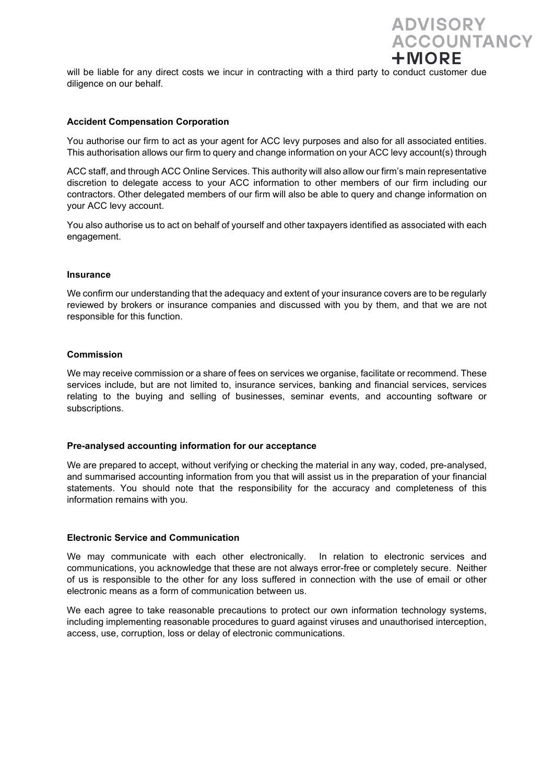will be liable for any direct costs we incur in contracting with a third party to conduct customer due diligence on our behalf.

**ADVISORY** 

 $+MORE$ 

**ACCOUNTANCY** 

#### **Accident Compensation Corporation**

You authorise our firm to act as your agent for ACC levy purposes and also for all associated entities. This authorisation allows our firm to query and change information on your ACC levy account(s) through

ACC staff, and through ACC Online Services. This authority will also allow our firm's main representative discretion to delegate access to your ACC information to other members of our firm including our contractors. Other delegated members of our firm will also be able to query and change information on your ACC levy account.

You also authorise us to act on behalf of yourself and other taxpayers identified as associated with each engagement.

#### **Insurance**

We confirm our understanding that the adequacy and extent of your insurance covers are to be regularly reviewed by brokers or insurance companies and discussed with you by them, and that we are not responsible for this function.

#### **Commission**

We may receive commission or a share of fees on services we organise, facilitate or recommend. These services include, but are not limited to, insurance services, banking and financial services, services relating to the buying and selling of businesses, seminar events, and accounting software or subscriptions.

#### **Pre-analysed accounting information for our acceptance**

We are prepared to accept, without verifying or checking the material in any way, coded, pre-analysed, and summarised accounting information from you that will assist us in the preparation of your financial statements. You should note that the responsibility for the accuracy and completeness of this information remains with you.

#### **Electronic Service and Communication**

We may communicate with each other electronically. In relation to electronic services and communications, you acknowledge that these are not always error-free or completely secure. Neither of us is responsible to the other for any loss suffered in connection with the use of email or other electronic means as a form of communication between us.

We each agree to take reasonable precautions to protect our own information technology systems, including implementing reasonable procedures to guard against viruses and unauthorised interception, access, use, corruption, loss or delay of electronic communications.